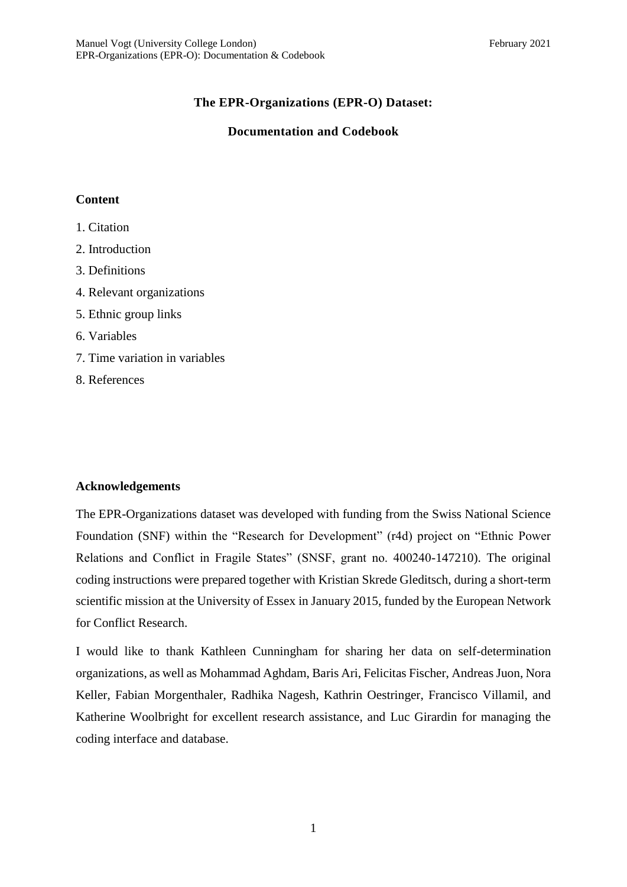# **The EPR-Organizations (EPR-O) Dataset:**

# **Documentation and Codebook**

# **Content**

- 1. Citation
- 2. Introduction
- 3. Definitions
- 4. Relevant organizations
- 5. Ethnic group links
- 6. Variables
- 7. Time variation in variables
- 8. References

# **Acknowledgements**

The EPR-Organizations dataset was developed with funding from the Swiss National Science Foundation (SNF) within the "Research for Development" (r4d) project on "Ethnic Power Relations and Conflict in Fragile States" (SNSF, grant no. 400240-147210). The original coding instructions were prepared together with Kristian Skrede Gleditsch, during a short-term scientific mission at the University of Essex in January 2015, funded by the European Network for Conflict Research.

I would like to thank Kathleen Cunningham for sharing her data on self-determination organizations, as well as Mohammad Aghdam, Baris Ari, Felicitas Fischer, Andreas Juon, Nora Keller, Fabian Morgenthaler, Radhika Nagesh, Kathrin Oestringer, Francisco Villamil, and Katherine Woolbright for excellent research assistance, and Luc Girardin for managing the coding interface and database.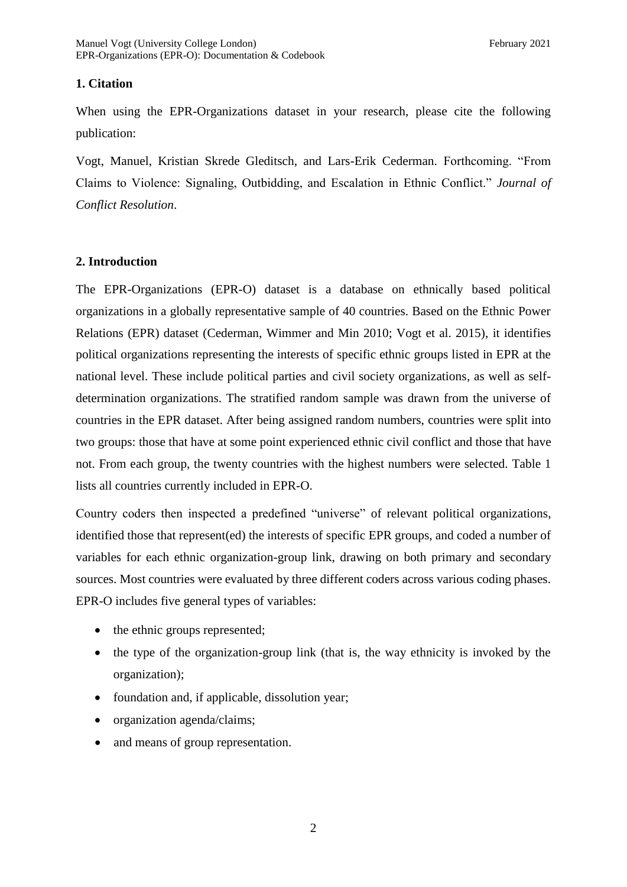# **1. Citation**

When using the EPR-Organizations dataset in your research, please cite the following publication:

Vogt, Manuel, Kristian Skrede Gleditsch, and Lars-Erik Cederman. Forthcoming. "From Claims to Violence: Signaling, Outbidding, and Escalation in Ethnic Conflict." *Journal of Conflict Resolution*.

# **2. Introduction**

The EPR-Organizations (EPR-O) dataset is a database on ethnically based political organizations in a globally representative sample of 40 countries. Based on the Ethnic Power Relations (EPR) dataset (Cederman, Wimmer and Min 2010; Vogt et al. 2015), it identifies political organizations representing the interests of specific ethnic groups listed in EPR at the national level. These include political parties and civil society organizations, as well as selfdetermination organizations. The stratified random sample was drawn from the universe of countries in the EPR dataset. After being assigned random numbers, countries were split into two groups: those that have at some point experienced ethnic civil conflict and those that have not. From each group, the twenty countries with the highest numbers were selected. Table 1 lists all countries currently included in EPR-O.

Country coders then inspected a predefined "universe" of relevant political organizations, identified those that represent(ed) the interests of specific EPR groups, and coded a number of variables for each ethnic organization-group link, drawing on both primary and secondary sources. Most countries were evaluated by three different coders across various coding phases. EPR-O includes five general types of variables:

- the ethnic groups represented;
- the type of the organization-group link (that is, the way ethnicity is invoked by the organization);
- foundation and, if applicable, dissolution year;
- organization agenda/claims;
- and means of group representation.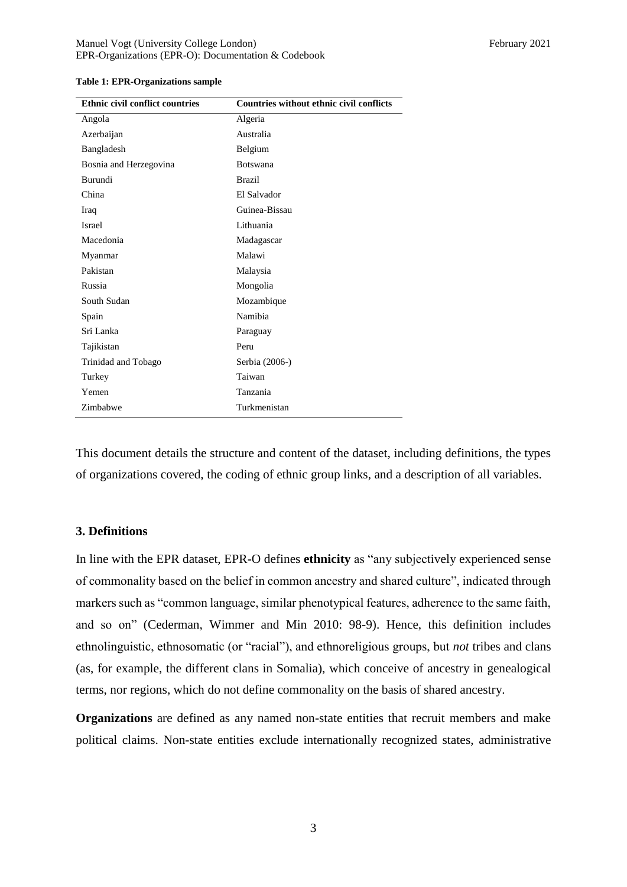| <b>Ethnic civil conflict countries</b> | <b>Countries without ethnic civil conflicts</b> |
|----------------------------------------|-------------------------------------------------|
| Angola                                 | Algeria                                         |
| Azerbaijan                             | Australia                                       |
| Bangladesh                             | Belgium                                         |
| Bosnia and Herzegovina                 | <b>Botswana</b>                                 |
| Burundi                                | <b>Brazil</b>                                   |
| China                                  | El Salvador                                     |
| Iraq                                   | Guinea-Bissau                                   |
| <b>Israel</b>                          | Lithuania                                       |
| Macedonia                              | Madagascar                                      |
| Myanmar                                | Malawi                                          |
| Pakistan                               | Malaysia                                        |
| Russia                                 | Mongolia                                        |
| South Sudan                            | Mozambique                                      |
| Spain                                  | Namibia                                         |
| Sri Lanka                              | Paraguay                                        |
| Tajikistan                             | Peru                                            |
| Trinidad and Tobago                    | Serbia (2006-)                                  |
| Turkey                                 | Taiwan                                          |
| Yemen                                  | Tanzania                                        |
| Zimbabwe                               | Turkmenistan                                    |

#### **Table 1: EPR-Organizations sample**

This document details the structure and content of the dataset, including definitions, the types of organizations covered, the coding of ethnic group links, and a description of all variables.

#### **3. Definitions**

In line with the EPR dataset, EPR-O defines **ethnicity** as "any subjectively experienced sense of commonality based on the belief in common ancestry and shared culture", indicated through markers such as "common language, similar phenotypical features, adherence to the same faith, and so on" (Cederman, Wimmer and Min 2010: 98-9). Hence, this definition includes ethnolinguistic, ethnosomatic (or "racial"), and ethnoreligious groups, but *not* tribes and clans (as, for example, the different clans in Somalia), which conceive of ancestry in genealogical terms, nor regions, which do not define commonality on the basis of shared ancestry.

**Organizations** are defined as any named non-state entities that recruit members and make political claims. Non-state entities exclude internationally recognized states, administrative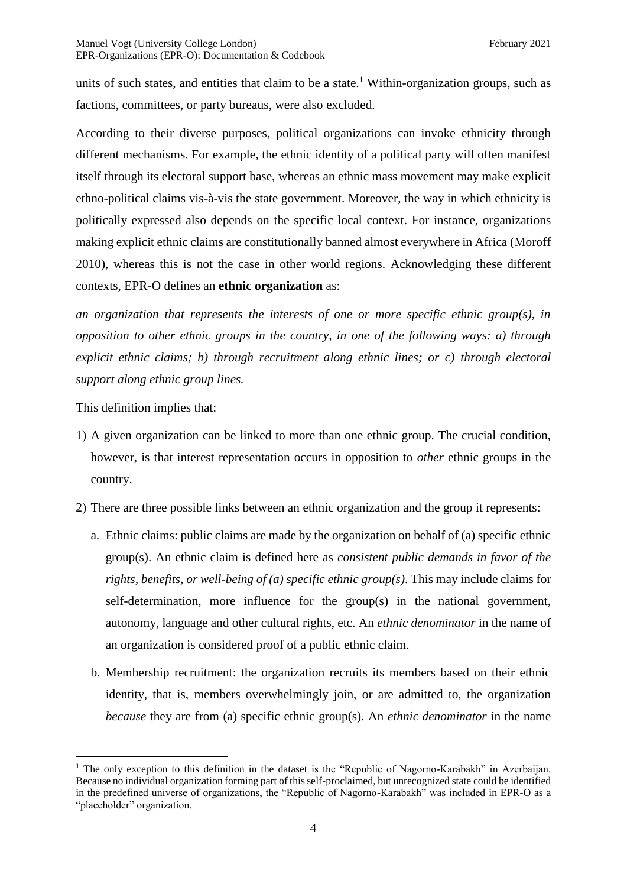units of such states, and entities that claim to be a state.<sup>1</sup> Within-organization groups, such as factions, committees, or party bureaus, were also excluded.

According to their diverse purposes, political organizations can invoke ethnicity through different mechanisms. For example, the ethnic identity of a political party will often manifest itself through its electoral support base, whereas an ethnic mass movement may make explicit ethno-political claims vis-à-vis the state government. Moreover, the way in which ethnicity is politically expressed also depends on the specific local context. For instance, organizations making explicit ethnic claims are constitutionally banned almost everywhere in Africa (Moroff 2010), whereas this is not the case in other world regions. Acknowledging these different contexts, EPR-O defines an **ethnic organization** as:

*an organization that represents the interests of one or more specific ethnic group(s), in opposition to other ethnic groups in the country, in one of the following ways: a) through explicit ethnic claims; b) through recruitment along ethnic lines; or c) through electoral support along ethnic group lines.*

This definition implies that:

1

- 1) A given organization can be linked to more than one ethnic group. The crucial condition, however, is that interest representation occurs in opposition to *other* ethnic groups in the country.
- 2) There are three possible links between an ethnic organization and the group it represents:
	- a. Ethnic claims: public claims are made by the organization on behalf of (a) specific ethnic group(s). An ethnic claim is defined here as *consistent public demands in favor of the rights, benefits, or well-being of (a) specific ethnic group(s)*. This may include claims for self-determination, more influence for the group(s) in the national government, autonomy, language and other cultural rights, etc. An *ethnic denominator* in the name of an organization is considered proof of a public ethnic claim.
	- b. Membership recruitment: the organization recruits its members based on their ethnic identity, that is, members overwhelmingly join, or are admitted to, the organization *because* they are from (a) specific ethnic group(s). An *ethnic denominator* in the name

<sup>&</sup>lt;sup>1</sup> The only exception to this definition in the dataset is the "Republic of Nagorno-Karabakh" in Azerbaijan. Because no individual organization forming part of this self-proclaimed, but unrecognized state could be identified in the predefined universe of organizations, the "Republic of Nagorno-Karabakh" was included in EPR-O as a "placeholder" organization.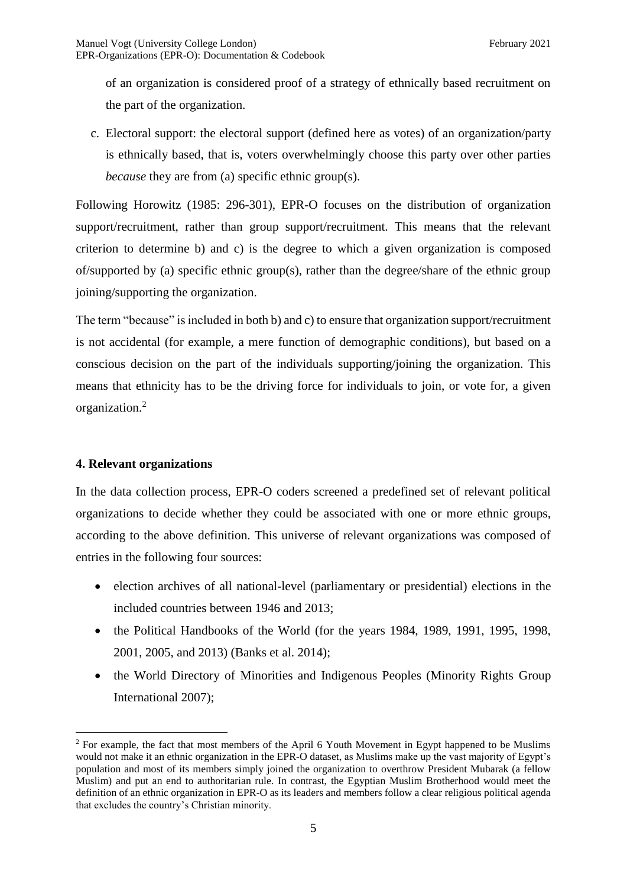of an organization is considered proof of a strategy of ethnically based recruitment on the part of the organization.

c. Electoral support: the electoral support (defined here as votes) of an organization/party is ethnically based, that is, voters overwhelmingly choose this party over other parties *because* they are from (a) specific ethnic group(s).

Following Horowitz (1985: 296-301), EPR-O focuses on the distribution of organization support/recruitment, rather than group support/recruitment. This means that the relevant criterion to determine b) and c) is the degree to which a given organization is composed of/supported by (a) specific ethnic group(s), rather than the degree/share of the ethnic group joining/supporting the organization.

The term "because" is included in both b) and c) to ensure that organization support/recruitment is not accidental (for example, a mere function of demographic conditions), but based on a conscious decision on the part of the individuals supporting/joining the organization. This means that ethnicity has to be the driving force for individuals to join, or vote for, a given organization.<sup>2</sup>

## **4. Relevant organizations**

1

In the data collection process, EPR-O coders screened a predefined set of relevant political organizations to decide whether they could be associated with one or more ethnic groups, according to the above definition. This universe of relevant organizations was composed of entries in the following four sources:

- election archives of all national-level (parliamentary or presidential) elections in the included countries between 1946 and 2013;
- the Political Handbooks of the World (for the years 1984, 1989, 1991, 1995, 1998, 2001, 2005, and 2013) (Banks et al. 2014);
- the World Directory of Minorities and Indigenous Peoples (Minority Rights Group) International 2007);

<sup>2</sup> For example, the fact that most members of the April 6 Youth Movement in Egypt happened to be Muslims would not make it an ethnic organization in the EPR-O dataset, as Muslims make up the vast majority of Egypt's population and most of its members simply joined the organization to overthrow President Mubarak (a fellow Muslim) and put an end to authoritarian rule. In contrast, the Egyptian Muslim Brotherhood would meet the definition of an ethnic organization in EPR-O as its leaders and members follow a clear religious political agenda that excludes the country's Christian minority.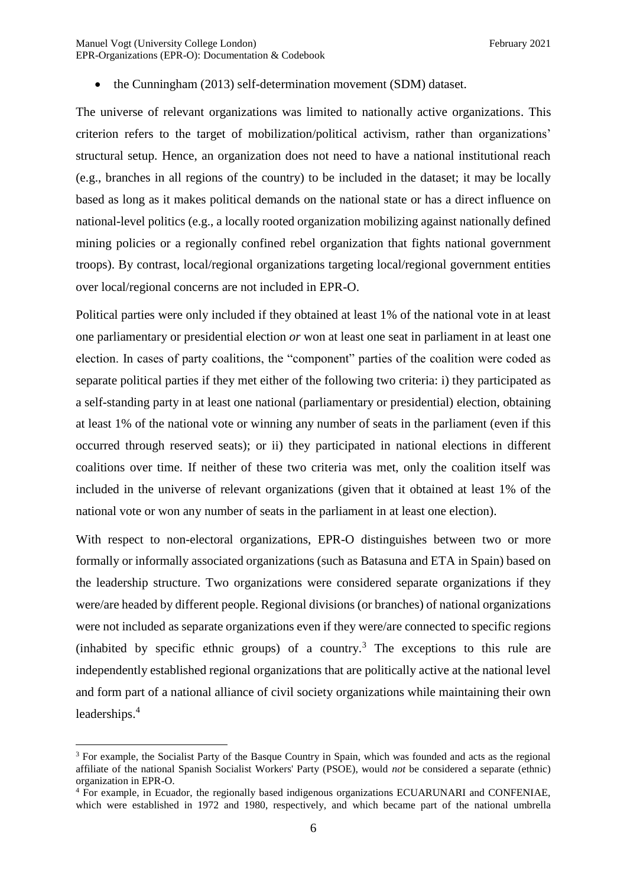• the Cunningham (2013) self-determination movement (SDM) dataset.

The universe of relevant organizations was limited to nationally active organizations. This criterion refers to the target of mobilization/political activism, rather than organizations' structural setup. Hence, an organization does not need to have a national institutional reach (e.g., branches in all regions of the country) to be included in the dataset; it may be locally based as long as it makes political demands on the national state or has a direct influence on national-level politics (e.g., a locally rooted organization mobilizing against nationally defined mining policies or a regionally confined rebel organization that fights national government troops). By contrast, local/regional organizations targeting local/regional government entities over local/regional concerns are not included in EPR-O.

Political parties were only included if they obtained at least 1% of the national vote in at least one parliamentary or presidential election *or* won at least one seat in parliament in at least one election. In cases of party coalitions, the "component" parties of the coalition were coded as separate political parties if they met either of the following two criteria: i) they participated as a self-standing party in at least one national (parliamentary or presidential) election, obtaining at least 1% of the national vote or winning any number of seats in the parliament (even if this occurred through reserved seats); or ii) they participated in national elections in different coalitions over time. If neither of these two criteria was met, only the coalition itself was included in the universe of relevant organizations (given that it obtained at least 1% of the national vote or won any number of seats in the parliament in at least one election).

With respect to non-electoral organizations, EPR-O distinguishes between two or more formally or informally associated organizations (such as Batasuna and ETA in Spain) based on the leadership structure. Two organizations were considered separate organizations if they were/are headed by different people. Regional divisions (or branches) of national organizations were not included as separate organizations even if they were/are connected to specific regions (inhabited by specific ethnic groups) of a country.<sup>3</sup> The exceptions to this rule are independently established regional organizations that are politically active at the national level and form part of a national alliance of civil society organizations while maintaining their own leaderships.<sup>4</sup>

<u>.</u>

<sup>&</sup>lt;sup>3</sup> For example, the Socialist Party of the Basque Country in Spain, which was founded and acts as the regional affiliate of the national Spanish Socialist Workers' Party (PSOE), would *not* be considered a separate (ethnic) organization in EPR-O.

<sup>4</sup> For example, in Ecuador, the regionally based indigenous organizations ECUARUNARI and CONFENIAE, which were established in 1972 and 1980, respectively, and which became part of the national umbrella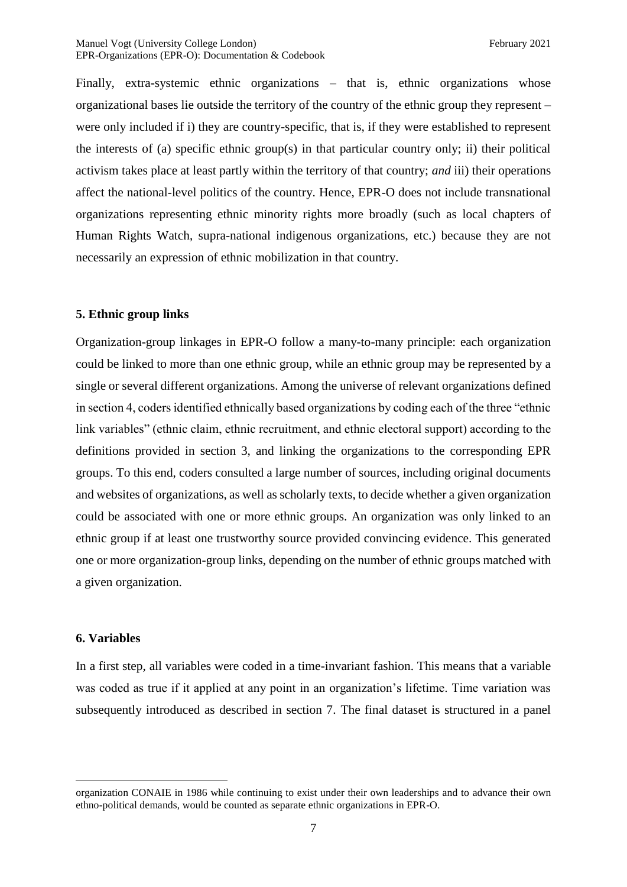Finally, extra-systemic ethnic organizations – that is, ethnic organizations whose organizational bases lie outside the territory of the country of the ethnic group they represent – were only included if i) they are country-specific, that is, if they were established to represent the interests of (a) specific ethnic group(s) in that particular country only; ii) their political activism takes place at least partly within the territory of that country; *and* iii) their operations affect the national-level politics of the country. Hence, EPR-O does not include transnational organizations representing ethnic minority rights more broadly (such as local chapters of Human Rights Watch, supra-national indigenous organizations, etc.) because they are not necessarily an expression of ethnic mobilization in that country.

## **5. Ethnic group links**

Organization-group linkages in EPR-O follow a many-to-many principle: each organization could be linked to more than one ethnic group, while an ethnic group may be represented by a single or several different organizations. Among the universe of relevant organizations defined in section 4, coders identified ethnically based organizations by coding each of the three "ethnic link variables" (ethnic claim, ethnic recruitment, and ethnic electoral support) according to the definitions provided in section 3, and linking the organizations to the corresponding EPR groups. To this end, coders consulted a large number of sources, including original documents and websites of organizations, as well as scholarly texts, to decide whether a given organization could be associated with one or more ethnic groups. An organization was only linked to an ethnic group if at least one trustworthy source provided convincing evidence. This generated one or more organization-group links, depending on the number of ethnic groups matched with a given organization.

## **6. Variables**

1

In a first step, all variables were coded in a time-invariant fashion. This means that a variable was coded as true if it applied at any point in an organization's lifetime. Time variation was subsequently introduced as described in section 7. The final dataset is structured in a panel

organization CONAIE in 1986 while continuing to exist under their own leaderships and to advance their own ethno-political demands, would be counted as separate ethnic organizations in EPR-O.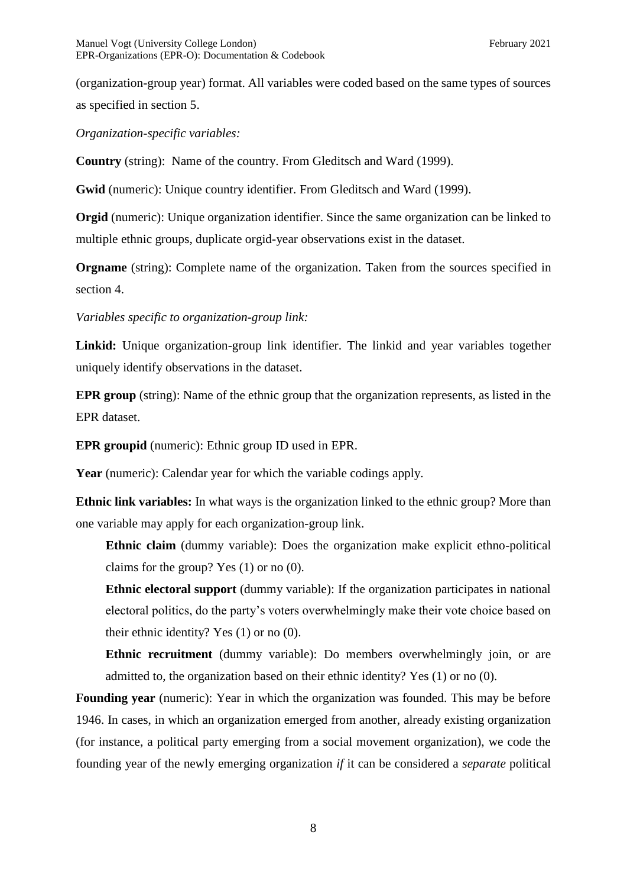(organization-group year) format. All variables were coded based on the same types of sources as specified in section 5.

*Organization-specific variables:*

**Country** (string): Name of the country. From Gleditsch and Ward (1999).

**Gwid** (numeric): Unique country identifier. From Gleditsch and Ward (1999).

**Orgid** (numeric): Unique organization identifier. Since the same organization can be linked to multiple ethnic groups, duplicate orgid-year observations exist in the dataset.

**Orgname** (string): Complete name of the organization. Taken from the sources specified in section 4.

*Variables specific to organization-group link:*

**Linkid:** Unique organization-group link identifier. The linkid and year variables together uniquely identify observations in the dataset.

**EPR group** (string): Name of the ethnic group that the organization represents, as listed in the EPR dataset.

**EPR groupid** (numeric): Ethnic group ID used in EPR.

**Year** (numeric): Calendar year for which the variable codings apply.

**Ethnic link variables:** In what ways is the organization linked to the ethnic group? More than one variable may apply for each organization-group link.

**Ethnic claim** (dummy variable): Does the organization make explicit ethno-political claims for the group? Yes (1) or no (0).

**Ethnic electoral support** (dummy variable): If the organization participates in national electoral politics, do the party's voters overwhelmingly make their vote choice based on their ethnic identity? Yes (1) or no (0).

**Ethnic recruitment** (dummy variable): Do members overwhelmingly join, or are admitted to, the organization based on their ethnic identity? Yes (1) or no (0).

**Founding year** (numeric): Year in which the organization was founded. This may be before 1946. In cases, in which an organization emerged from another, already existing organization (for instance, a political party emerging from a social movement organization), we code the founding year of the newly emerging organization *if* it can be considered a *separate* political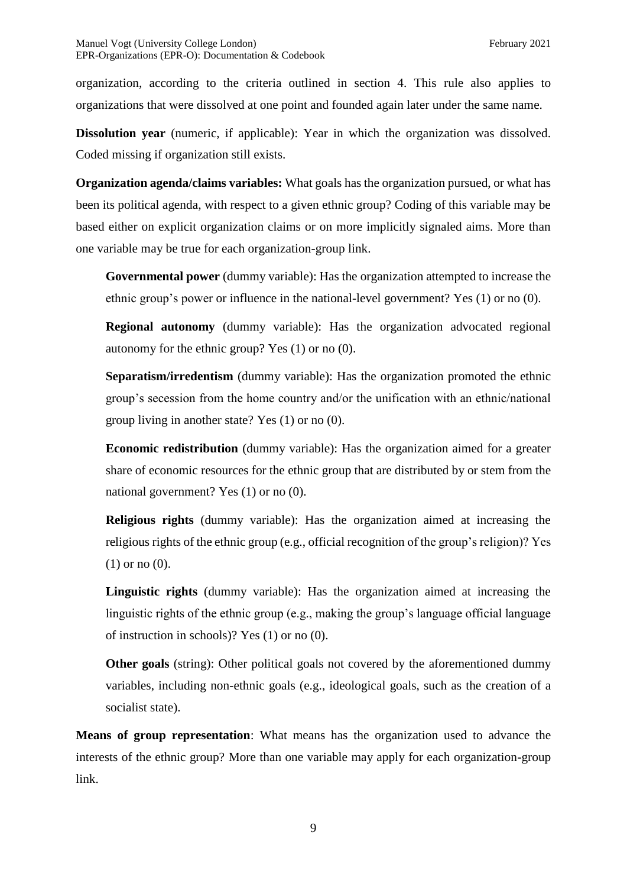organization, according to the criteria outlined in section 4. This rule also applies to organizations that were dissolved at one point and founded again later under the same name.

**Dissolution year** (numeric, if applicable): Year in which the organization was dissolved. Coded missing if organization still exists.

**Organization agenda/claims variables:** What goals has the organization pursued, or what has been its political agenda, with respect to a given ethnic group? Coding of this variable may be based either on explicit organization claims or on more implicitly signaled aims. More than one variable may be true for each organization-group link.

**Governmental power** (dummy variable): Has the organization attempted to increase the ethnic group's power or influence in the national-level government? Yes (1) or no (0).

**Regional autonomy** (dummy variable): Has the organization advocated regional autonomy for the ethnic group? Yes (1) or no (0).

**Separatism/irredentism** (dummy variable): Has the organization promoted the ethnic group's secession from the home country and/or the unification with an ethnic/national group living in another state? Yes (1) or no (0).

**Economic redistribution** (dummy variable): Has the organization aimed for a greater share of economic resources for the ethnic group that are distributed by or stem from the national government? Yes (1) or no (0).

**Religious rights** (dummy variable): Has the organization aimed at increasing the religious rights of the ethnic group (e.g., official recognition of the group's religion)? Yes (1) or no (0).

**Linguistic rights** (dummy variable): Has the organization aimed at increasing the linguistic rights of the ethnic group (e.g., making the group's language official language of instruction in schools)? Yes (1) or no (0).

**Other goals** (string): Other political goals not covered by the aforementioned dummy variables, including non-ethnic goals (e.g., ideological goals, such as the creation of a socialist state).

**Means of group representation**: What means has the organization used to advance the interests of the ethnic group? More than one variable may apply for each organization-group link.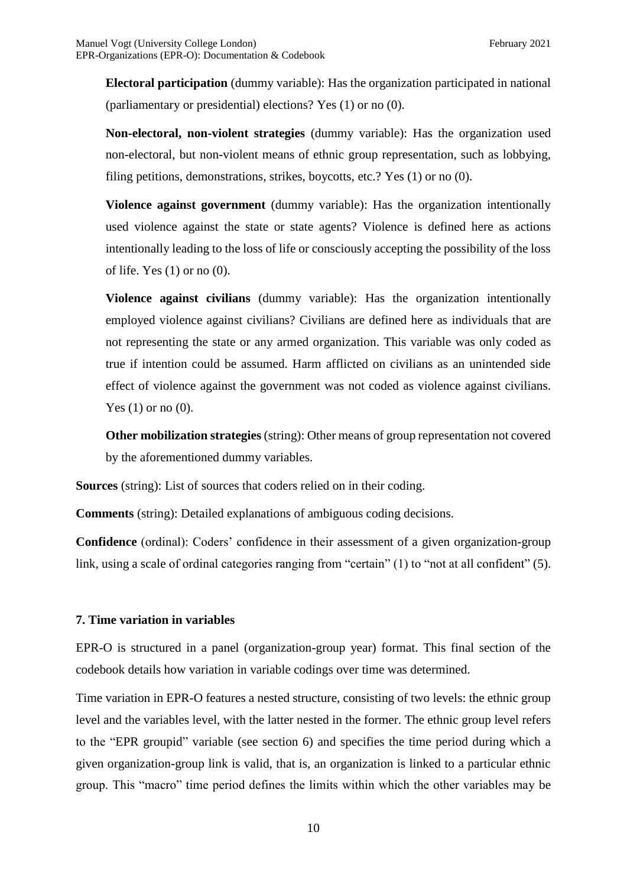**Electoral participation** (dummy variable): Has the organization participated in national (parliamentary or presidential) elections? Yes (1) or no (0).

**Non-electoral, non-violent strategies** (dummy variable): Has the organization used non-electoral, but non-violent means of ethnic group representation, such as lobbying, filing petitions, demonstrations, strikes, boycotts, etc.? Yes (1) or no (0).

**Violence against government** (dummy variable): Has the organization intentionally used violence against the state or state agents? Violence is defined here as actions intentionally leading to the loss of life or consciously accepting the possibility of the loss of life. Yes (1) or no (0).

**Violence against civilians** (dummy variable): Has the organization intentionally employed violence against civilians? Civilians are defined here as individuals that are not representing the state or any armed organization. This variable was only coded as true if intention could be assumed. Harm afflicted on civilians as an unintended side effect of violence against the government was not coded as violence against civilians. Yes  $(1)$  or no  $(0)$ .

**Other mobilization strategies** (string): Other means of group representation not covered by the aforementioned dummy variables.

**Sources** (string): List of sources that coders relied on in their coding.

**Comments** (string): Detailed explanations of ambiguous coding decisions.

**Confidence** (ordinal): Coders' confidence in their assessment of a given organization-group link, using a scale of ordinal categories ranging from "certain" (1) to "not at all confident" (5).

### **7. Time variation in variables**

EPR-O is structured in a panel (organization-group year) format. This final section of the codebook details how variation in variable codings over time was determined.

Time variation in EPR-O features a nested structure, consisting of two levels: the ethnic group level and the variables level, with the latter nested in the former. The ethnic group level refers to the "EPR groupid" variable (see section 6) and specifies the time period during which a given organization-group link is valid, that is, an organization is linked to a particular ethnic group. This "macro" time period defines the limits within which the other variables may be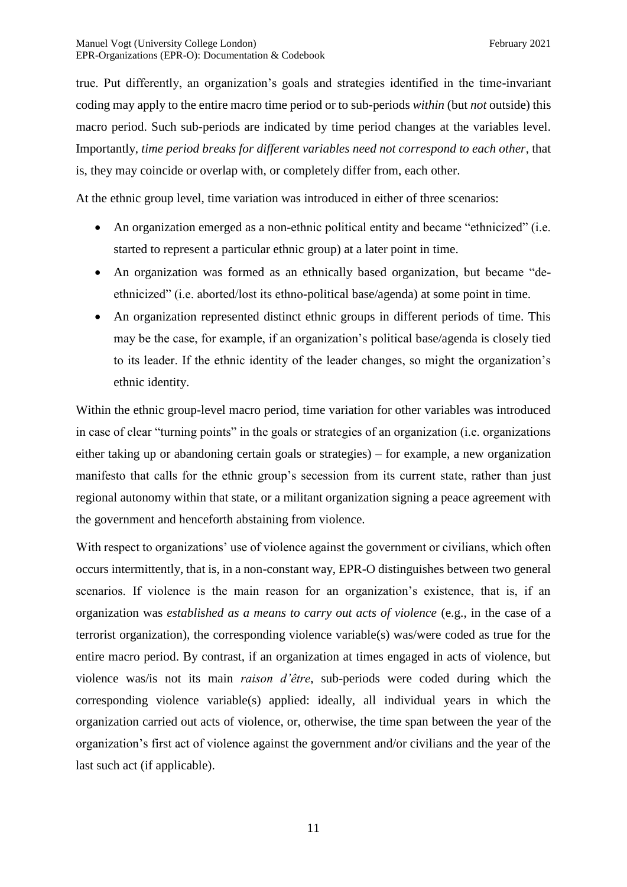true. Put differently, an organization's goals and strategies identified in the time-invariant coding may apply to the entire macro time period or to sub-periods *within* (but *not* outside) this macro period. Such sub-periods are indicated by time period changes at the variables level. Importantly, *time period breaks for different variables need not correspond to each other*, that is, they may coincide or overlap with, or completely differ from, each other.

At the ethnic group level, time variation was introduced in either of three scenarios:

- An organization emerged as a non-ethnic political entity and became "ethnicized" (i.e. started to represent a particular ethnic group) at a later point in time.
- An organization was formed as an ethnically based organization, but became "deethnicized" (i.e. aborted/lost its ethno-political base/agenda) at some point in time.
- An organization represented distinct ethnic groups in different periods of time. This may be the case, for example, if an organization's political base/agenda is closely tied to its leader. If the ethnic identity of the leader changes, so might the organization's ethnic identity.

Within the ethnic group-level macro period, time variation for other variables was introduced in case of clear "turning points" in the goals or strategies of an organization (i.e. organizations either taking up or abandoning certain goals or strategies) – for example, a new organization manifesto that calls for the ethnic group's secession from its current state, rather than just regional autonomy within that state, or a militant organization signing a peace agreement with the government and henceforth abstaining from violence.

With respect to organizations' use of violence against the government or civilians, which often occurs intermittently, that is, in a non-constant way, EPR-O distinguishes between two general scenarios. If violence is the main reason for an organization's existence, that is, if an organization was *established as a means to carry out acts of violence* (e.g., in the case of a terrorist organization), the corresponding violence variable(s) was/were coded as true for the entire macro period. By contrast, if an organization at times engaged in acts of violence, but violence was/is not its main *raison d'être*, sub-periods were coded during which the corresponding violence variable(s) applied: ideally, all individual years in which the organization carried out acts of violence, or, otherwise, the time span between the year of the organization's first act of violence against the government and/or civilians and the year of the last such act (if applicable).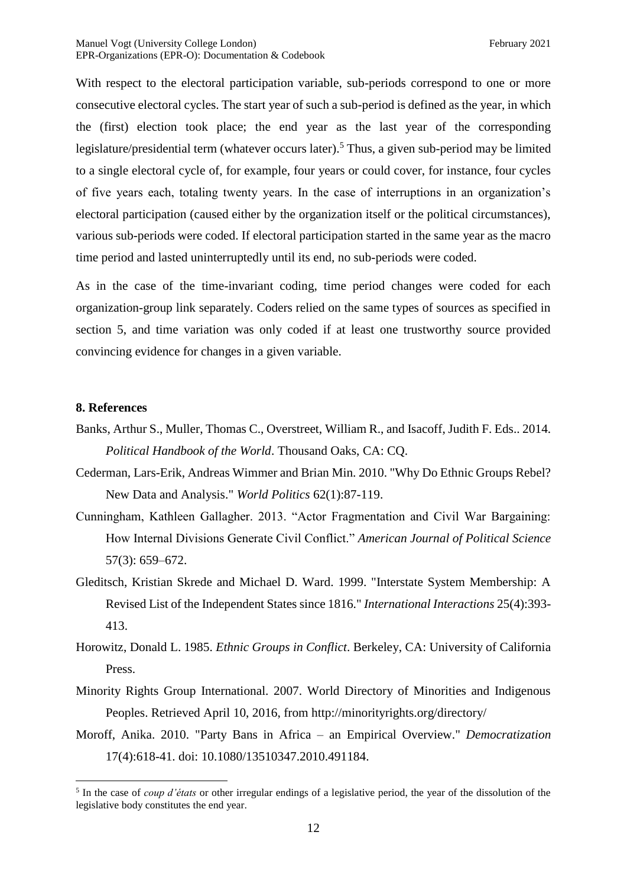With respect to the electoral participation variable, sub-periods correspond to one or more consecutive electoral cycles. The start year of such a sub-period is defined as the year, in which the (first) election took place; the end year as the last year of the corresponding legislature/presidential term (whatever occurs later).<sup>5</sup> Thus, a given sub-period may be limited to a single electoral cycle of, for example, four years or could cover, for instance, four cycles of five years each, totaling twenty years. In the case of interruptions in an organization's electoral participation (caused either by the organization itself or the political circumstances), various sub-periods were coded. If electoral participation started in the same year as the macro time period and lasted uninterruptedly until its end, no sub-periods were coded.

As in the case of the time-invariant coding, time period changes were coded for each organization-group link separately. Coders relied on the same types of sources as specified in section 5, and time variation was only coded if at least one trustworthy source provided convincing evidence for changes in a given variable.

#### **8. References**

1

- Banks, Arthur S., Muller, Thomas C., Overstreet, William R., and Isacoff, Judith F. Eds.. 2014. *Political Handbook of the World*. Thousand Oaks, CA: CQ.
- Cederman, Lars-Erik, Andreas Wimmer and Brian Min. 2010. "Why Do Ethnic Groups Rebel? New Data and Analysis." *World Politics* 62(1):87-119.
- Cunningham, Kathleen Gallagher. 2013. "Actor Fragmentation and Civil War Bargaining: How Internal Divisions Generate Civil Conflict." *American Journal of Political Science*  57(3): 659–672.
- Gleditsch, Kristian Skrede and Michael D. Ward. 1999. "Interstate System Membership: A Revised List of the Independent States since 1816." *International Interactions* 25(4):393- 413.
- Horowitz, Donald L. 1985. *Ethnic Groups in Conflict*. Berkeley, CA: University of California Press.
- Minority Rights Group International. 2007. World Directory of Minorities and Indigenous Peoples. Retrieved April 10, 2016, from http://minorityrights.org/directory/
- Moroff, Anika. 2010. "Party Bans in Africa an Empirical Overview." *Democratization* 17(4):618-41. doi: 10.1080/13510347.2010.491184.

<sup>5</sup> In the case of *coup d'états* or other irregular endings of a legislative period, the year of the dissolution of the legislative body constitutes the end year.